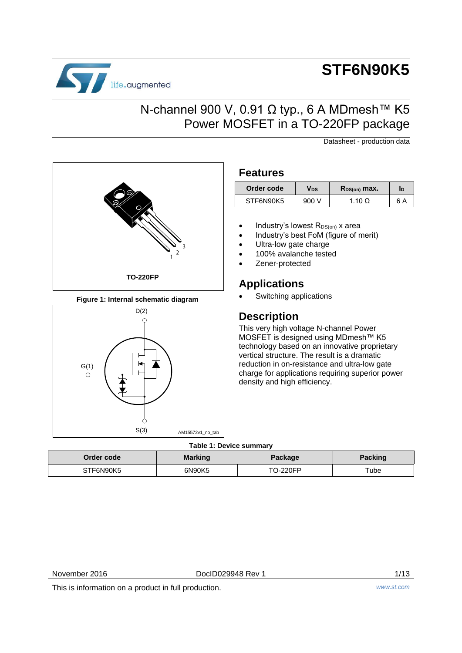

# **STF6N90K5**

## N-channel 900 V, 0.91 Ω typ., 6 A MDmesh™ K5 Power MOSFET in a TO-220FP package

Datasheet - production data



**Figure 1: Internal schematic diagram**



### **Features**

| Order code | Vds   | $R_{DS(on)}$ max. | ID  |
|------------|-------|-------------------|-----|
| STF6N90K5  | 900 V | 1.10 $\Omega$     | 6 A |

- Industry's lowest  $R_{DS(on)}$  x area
- Industry's best FoM (figure of merit)
- Ultra-low gate charge
- 100% avalanche tested
- Zener-protected

### **Applications**

Switching applications

### **Description**

This very high voltage N-channel Power MOSFET is designed using MDmesh™ K5 technology based on an innovative proprietary vertical structure. The result is a dramatic reduction in on-resistance and ultra-low gate charge for applications requiring superior power density and high efficiency.

### **Table 1: Device summary**

| Order code | <b>Marking</b> | Package  | Packing |
|------------|----------------|----------|---------|
| STF6N90K5  | 6N90K5         | .ገ-220FP | Tube:   |

November 2016 **DocID029948 Rev 1** 1/13

This is information on a product in full production. *www.st.com*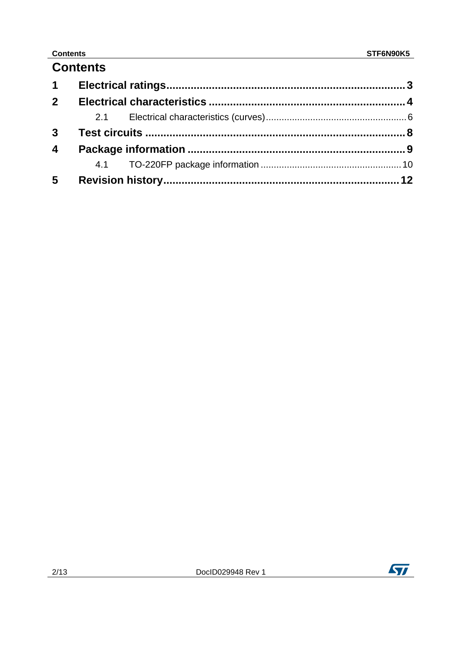### **Contents**

## **Contents**

| $1 \quad$               |  |  |
|-------------------------|--|--|
| 2 <sup>1</sup>          |  |  |
|                         |  |  |
|                         |  |  |
| $\overline{\mathbf{4}}$ |  |  |
|                         |  |  |
| $5\phantom{.0}$         |  |  |

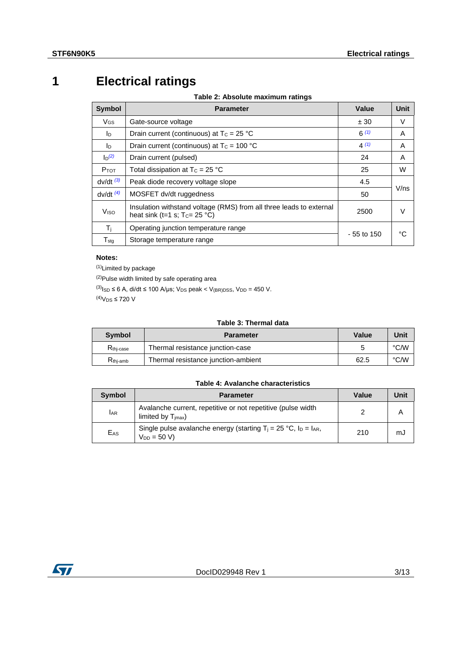# **1 Electrical ratings**

**Table 2: Absolute maximum ratings**

<span id="page-2-0"></span>

| <b>Symbol</b>         | <b>Parameter</b>                                                                                         | Value        | <b>Unit</b> |
|-----------------------|----------------------------------------------------------------------------------------------------------|--------------|-------------|
| <b>V<sub>GS</sub></b> | Gate-source voltage                                                                                      | ± 30         | V           |
| I <sub>D</sub>        | Drain current (continuous) at $T_c = 25 °C$                                                              | $6^{(1)}$    | A           |
| lo.                   | Drain current (continuous) at $T_c = 100 °C$                                                             | 4(1)         | A           |
| $\ln^{(2)}$           | Drain current (pulsed)                                                                                   | 24           | A           |
| $P_{TOT}$             | Total dissipation at $T_c = 25 °C$                                                                       | 25           | W           |
| $dv/dt$ $(3)$         | Peak diode recovery voltage slope                                                                        | 4.5          |             |
| $dv/dt$ $(4)$         | MOSFET dv/dt ruggedness                                                                                  | 50           | V/ns        |
| Viso                  | Insulation withstand voltage (RMS) from all three leads to external<br>heat sink (t=1 s; $T_c = 25 °C$ ) | 2500         | V           |
| Τj                    | Operating junction temperature range                                                                     |              | °۲          |
| $T_{\text{stq}}$      | Storage temperature range                                                                                | $-55$ to 150 |             |

#### **Notes:**

<span id="page-2-1"></span>(1)Limited by package

<span id="page-2-2"></span>(2)Pulse width limited by safe operating area

<span id="page-2-3"></span> $^{(3)}$ Is $_D \le 6$  A, di/dt  $\le 100$  A/µs; V<sub>DS</sub> peak < V<sub>(BR)</sub>pss, V<sub>DD</sub> = 450 V.

<span id="page-2-4"></span> $^{(4)}V$ <sub>DS</sub> ≤ 720 V

#### **Table 3: Thermal data**

| <b>Symbol</b>         | <b>Parameter</b>                    | <b>Value</b> | Unit |
|-----------------------|-------------------------------------|--------------|------|
| R <sub>thi-case</sub> | Thermal resistance junction-case    |              | °C/W |
| $R_{\text{thi-amb}}$  | Thermal resistance junction-ambient | 62.5         | °C/W |

#### **Table 4: Avalanche characteristics**

| <b>Symbol</b>   | <b>Parameter</b>                                                                                   | Value | Unit |
|-----------------|----------------------------------------------------------------------------------------------------|-------|------|
| <b>LAR</b>      | Avalanche current, repetitive or not repetitive (pulse width<br>limited by $T_{\text{imax}}$ )     |       |      |
| E <sub>AS</sub> | Single pulse avalanche energy (starting $T_i = 25 \degree C$ , $I_D = I_{AR}$ ,<br>$V_{DD} = 50 V$ | 210   | mJ   |

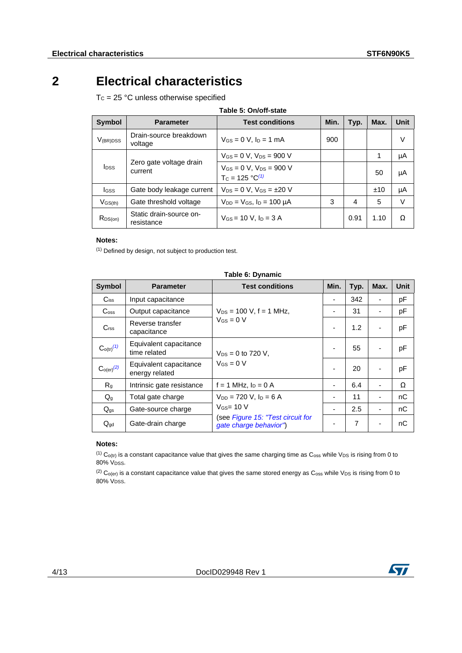# **2 Electrical characteristics**

<span id="page-3-0"></span> $T_c = 25 °C$  unless otherwise specified

| <b>Symbol</b>           | <b>Parameter</b>                      | <b>Test conditions</b>                                    | Min. | Typ. | Max. | Unit   |
|-------------------------|---------------------------------------|-----------------------------------------------------------|------|------|------|--------|
| $V_{(BR)DSS}$           | Drain-source breakdown<br>voltage     | $V_{GS} = 0$ V, $I_D = 1$ mA                              | 900  |      |      | $\vee$ |
|                         |                                       | $V_{GS} = 0$ V, $V_{DS} = 900$ V                          |      |      | 1    | μA     |
| <b>I</b> <sub>DSS</sub> | Zero gate voltage drain<br>current    | $V_{GS} = 0 V$ , $V_{DS} = 900 V$<br>$T_c = 125 °C^{(1)}$ |      |      | 50   | μA     |
| lgss                    | Gate body leakage current             | $V_{DS} = 0 V$ , $V_{GS} = \pm 20 V$                      |      |      | ±10  | μA     |
| $V$ GS(th)              | Gate threshold voltage                | $V_{DD} = V_{GS}$ , $I_D = 100 \mu A$                     | 3    | 4    | 5    | V      |
| $R_{DS(on)}$            | Static drain-source on-<br>resistance | $V_{GS}$ = 10 V, $I_D$ = 3 A                              |      | 0.91 | 1.10 | Ω      |

#### **Notes:**

<span id="page-3-1"></span>(1) Defined by design, not subject to production test.

| <b>Symbol</b>                     | <b>Parameter</b>                         | <b>Test conditions</b>                                      | Min. | Typ.           | Max. | <b>Unit</b> |
|-----------------------------------|------------------------------------------|-------------------------------------------------------------|------|----------------|------|-------------|
| $C$ <sub>iss</sub>                | Input capacitance                        |                                                             | ۰    | 342            |      | pF          |
| C <sub>oss</sub>                  | Output capacitance                       | $V_{DS}$ = 100 V, f = 1 MHz,                                | ۰    | 31             |      | pF          |
| C <sub>rss</sub>                  | Reverse transfer<br>capacitance          | $V_{GS} = 0 V$                                              |      | 1.2            |      | pF          |
| C <sub>O(tr)</sub> <sup>(1)</sup> | Equivalent capacitance<br>time related   | $V_{DS} = 0$ to 720 V,                                      |      | 55             |      | pF          |
| C <sub>o(er)</sub> <sup>(2)</sup> | Equivalent capacitance<br>energy related | $V$ <sub>GS</sub> = 0 V                                     |      | 20             |      | pF          |
| R <sub>g</sub>                    | Intrinsic gate resistance                | $f = 1$ MHz, $I_D = 0$ A                                    | ۰    | 6.4            |      | Ω           |
| $Q_g$                             | Total gate charge                        | $V_{DD} = 720$ V, $I_D = 6$ A                               |      | 11             |      | nC          |
| $Q_{gs}$                          | Gate-source charge                       | $V$ <sub>GS</sub> = 10 V                                    |      | 2.5            |      | nC          |
| $Q_{\text{gd}}$                   | Gate-drain charge                        | (see Figure 15: "Test circuit for<br>gate charge behavior") |      | $\overline{7}$ |      | nC          |

#### **Table 6: Dynamic**

#### **Notes:**

<span id="page-3-2"></span>(1)  $C_{O(tr)}$  is a constant capacitance value that gives the same charging time as  $C_{oss}$  while  $V_{DS}$  is rising from 0 to 80% V<sub>DSS</sub>.

<span id="page-3-3"></span>(2)  $C_{O(er)}$  is a constant capacitance value that gives the same stored energy as  $C_{os}$  while V<sub>DS</sub> is rising from 0 to 80% VDSS.

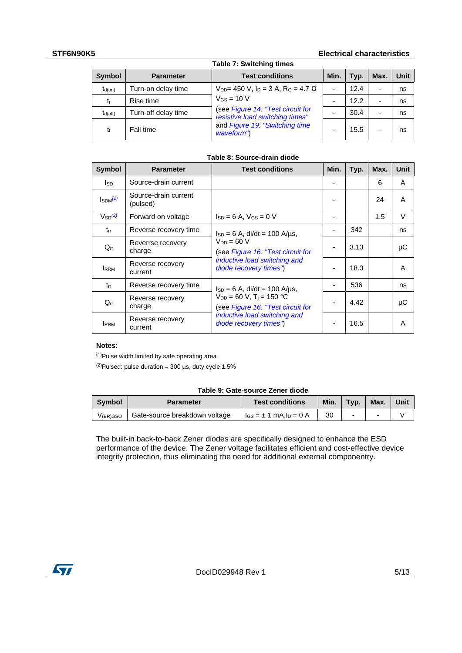#### **STF6N90K5 Electrical characteristics**

| <b>Table 7: Switching times</b> |                     |                                                                      |      |      |                          |             |  |
|---------------------------------|---------------------|----------------------------------------------------------------------|------|------|--------------------------|-------------|--|
| <b>Symbol</b>                   | <b>Parameter</b>    | <b>Test conditions</b>                                               | Min. | Typ. | Max.                     | <b>Unit</b> |  |
| $t_{d(on)}$                     | Turn-on delay time  | $V_{DD}$ = 450 V, l <sub>D</sub> = 3 A, R <sub>G</sub> = 4.7 Ω       | -    | 12.4 | $\overline{\phantom{0}}$ | ns          |  |
| tr                              | Rise time           | $V_{GS}$ = 10 V                                                      |      | 12.2 | $\overline{\phantom{0}}$ | ns          |  |
| $t_{d(off)}$                    | Turn-off delay time | (see Figure 14: "Test circuit for<br>resistive load switching times" |      | 30.4 | $\overline{\phantom{a}}$ | ns          |  |
| tŧ                              | Fall time           | and Figure 19: "Switching time<br>waveform")                         |      | 15.5 |                          | ns          |  |

#### **Table 8: Source-drain diode**

| <b>Symbol</b>         | <b>Parameter</b>                 | <b>Test conditions</b>                                                                                                                   | Min.           | Typ. | Max. | Unit   |
|-----------------------|----------------------------------|------------------------------------------------------------------------------------------------------------------------------------------|----------------|------|------|--------|
| Isp                   | Source-drain current             |                                                                                                                                          | ۰              |      | 6    | A      |
| $\mathsf{Isom}^{(1)}$ | Source-drain current<br>(pulsed) |                                                                                                                                          |                |      | 24   | A      |
| $V_{SD}^{(2)}$        | Forward on voltage               | $Is_D = 6$ A, $V_{GS} = 0$ V                                                                                                             |                |      | 1.5  | $\vee$ |
| $t_{rr}$              | Reverse recovery time            | $I_{SD} = 6$ A, di/dt = 100 A/µs,                                                                                                        |                | 342  |      | ns     |
| $Q_{rr}$              | Reverrse recovery<br>charge      | $V_{DD} = 60 V$<br>(see Figure 16: "Test circuit for                                                                                     | $\blacksquare$ | 3.13 |      | μC     |
| <b>RRM</b>            | Reverse recovery<br>current      | inductive load switching and<br>diode recovery times")                                                                                   |                | 18.3 |      | A      |
| $t_{rr}$              | Reverse recovery time            | $I_{SD} = 6$ A, di/dt = 100 A/us,                                                                                                        |                | 536  |      | ns     |
| $Q_{rr}$              | Reverse recovery<br>charge       | $V_{DD} = 60 V$ , T <sub>i</sub> = 150 °C<br>(see Figure 16: "Test circuit for<br>inductive load switching and<br>diode recovery times") |                | 4.42 |      | μC     |
| <b>IRRM</b>           | Reverse recovery<br>current      |                                                                                                                                          |                | 16.5 |      | A      |

#### **Notes:**

<span id="page-4-1"></span>(1)Pulse width limited by safe operating area

<span id="page-4-2"></span> $(2)$ Pulsed: pulse duration = 300 µs, duty cycle 1.5%

#### **Table 9: Gate-source Zener diode**

| <b>Symbol</b> | <b>Parameter</b>              | <b>Test conditions</b>           | Min. | Typ. | Max. | Unit |
|---------------|-------------------------------|----------------------------------|------|------|------|------|
| V(BR)GSO      | Gate-source breakdown voltage | $I_{GS} = \pm 1$ mA, $I_D = 0$ A | 30   | -    |      |      |

<span id="page-4-0"></span>The built-in back-to-back Zener diodes are specifically designed to enhance the ESD performance of the device. The Zener voltage facilitates efficient and cost-effective device integrity protection, thus eliminating the need for additional external componentry.

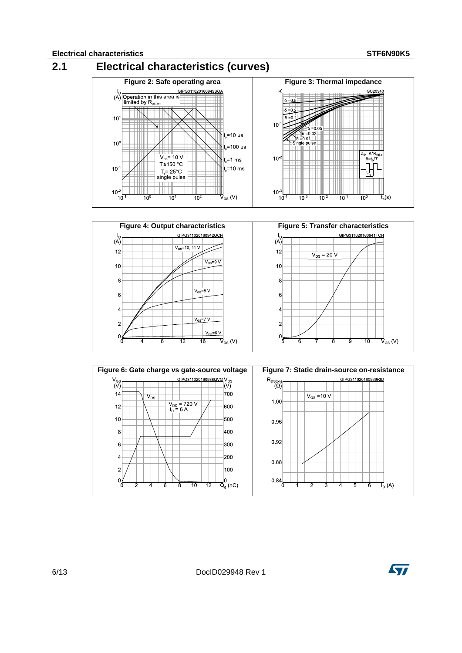



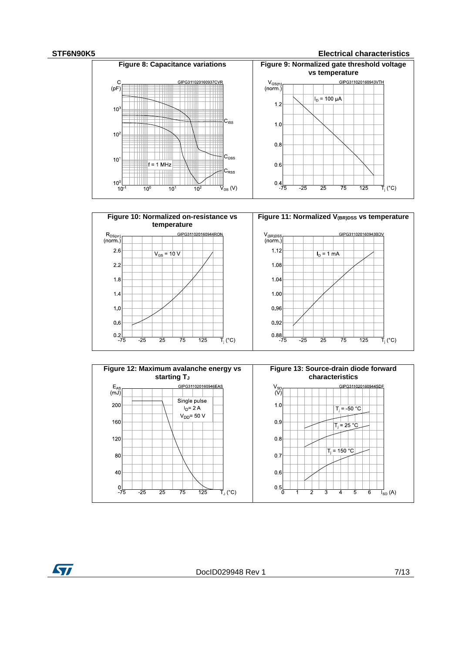#### **STF6N90K5 Electrical characteristics**







DocID029948 Rev 1 7/13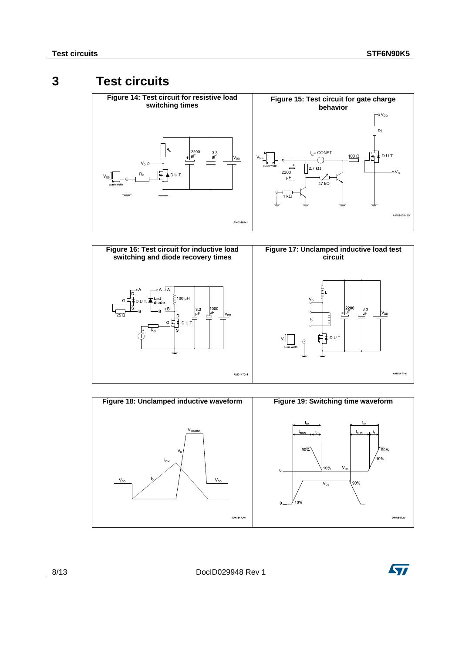### **3 Test circuits**

<span id="page-7-2"></span><span id="page-7-1"></span><span id="page-7-0"></span>

<span id="page-7-4"></span>

<span id="page-7-3"></span>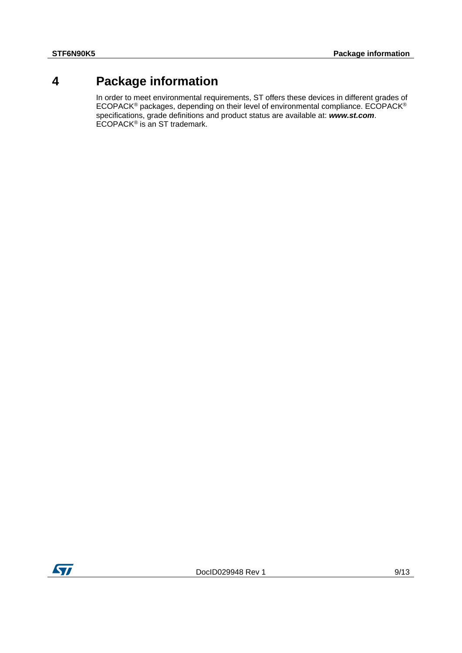### **4 Package information**

<span id="page-8-0"></span>In order to meet environmental requirements, ST offers these devices in different grades of ECOPACK® packages, depending on their level of environmental compliance. ECOPACK® specifications, grade definitions and product status are available at: *www.st.com*. ECOPACK<sup>®</sup> is an ST trademark.

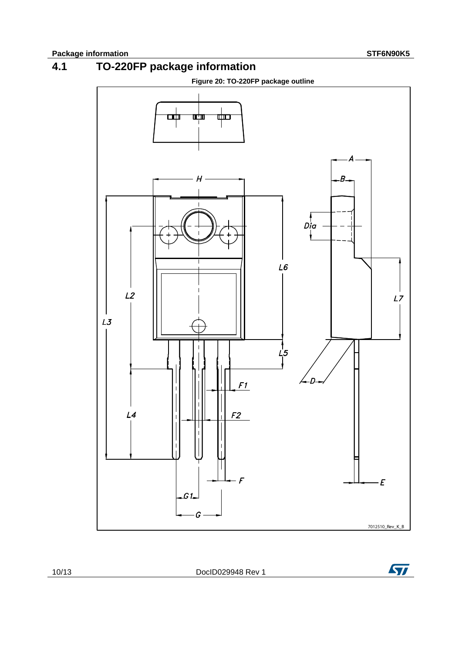

<span id="page-9-0"></span>



10/13 DocID029948 Rev 1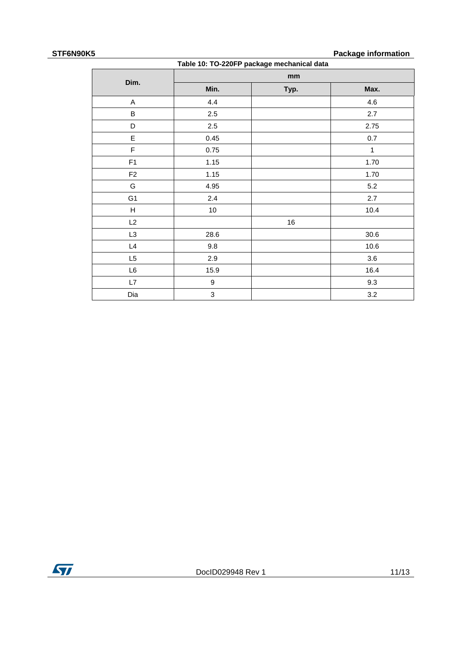### **STF6N90K5 Package information**

| $\overline{ }$<br>a adiyaya mudulmandin<br>Table 10: TO-220FP package mechanical data |      |      |              |  |  |  |
|---------------------------------------------------------------------------------------|------|------|--------------|--|--|--|
|                                                                                       |      | mm   |              |  |  |  |
| Dim.                                                                                  | Min. | Typ. | Max.         |  |  |  |
| A                                                                                     | 4.4  |      | 4.6          |  |  |  |
| B                                                                                     | 2.5  |      | 2.7          |  |  |  |
| D                                                                                     | 2.5  |      | 2.75         |  |  |  |
| E                                                                                     | 0.45 |      | 0.7          |  |  |  |
| F                                                                                     | 0.75 |      | $\mathbf{1}$ |  |  |  |
| F <sub>1</sub>                                                                        | 1.15 |      | 1.70         |  |  |  |
| F <sub>2</sub>                                                                        | 1.15 |      | 1.70         |  |  |  |
| G                                                                                     | 4.95 |      | 5.2          |  |  |  |
| G <sub>1</sub>                                                                        | 2.4  |      | 2.7          |  |  |  |
| H                                                                                     | $10$ |      | 10.4         |  |  |  |
| L2                                                                                    |      | 16   |              |  |  |  |
| L3                                                                                    | 28.6 |      | 30.6         |  |  |  |
| L4                                                                                    | 9.8  |      | 10.6         |  |  |  |
| L <sub>5</sub>                                                                        | 2.9  |      | 3.6          |  |  |  |
| $\mathsf{L}6$                                                                         | 15.9 |      | 16.4         |  |  |  |
| L7                                                                                    | 9    |      | 9.3          |  |  |  |
| Dia                                                                                   | 3    |      | 3.2          |  |  |  |

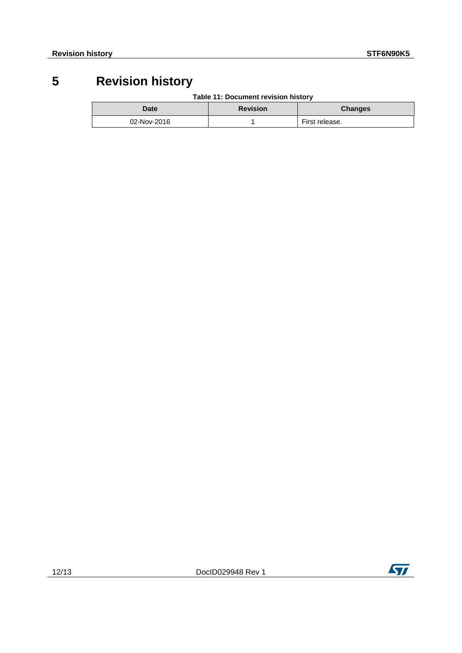# **5 Revision history**

**Table 11: Document revision history**

<span id="page-11-0"></span>

| Date        | <b>Revision</b> | <b>Changes</b> |
|-------------|-----------------|----------------|
| 02-Nov-2016 |                 | First release. |